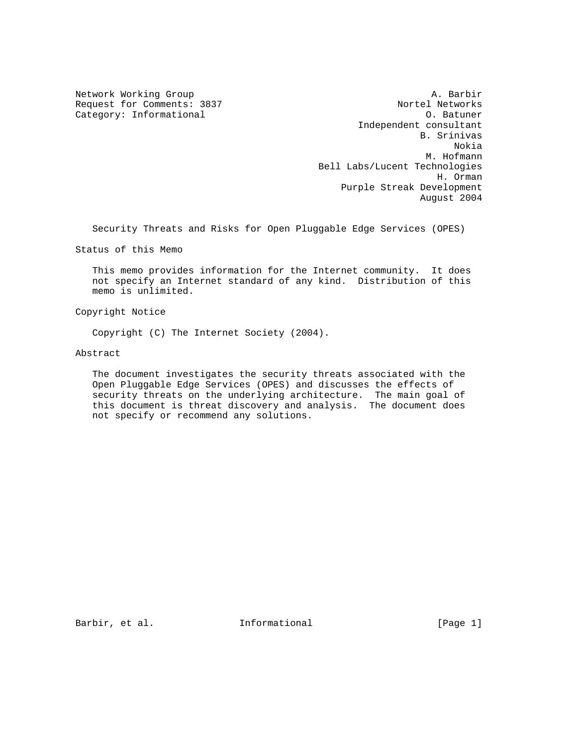Category: Informational

Network Working Group and the set of the set of the set of the A. Barbir Request for Comments: 3837 Nortel Networks<br>
Category: Informational 2008 2011 10:30 2012 Independent consultant B. Srinivas Nokia M. Hofmann Bell Labs/Lucent Technologies H. Orman Purple Streak Development August 2004

Security Threats and Risks for Open Pluggable Edge Services (OPES)

Status of this Memo

 This memo provides information for the Internet community. It does not specify an Internet standard of any kind. Distribution of this memo is unlimited.

Copyright Notice

Copyright (C) The Internet Society (2004).

Abstract

 The document investigates the security threats associated with the Open Pluggable Edge Services (OPES) and discusses the effects of security threats on the underlying architecture. The main goal of this document is threat discovery and analysis. The document does not specify or recommend any solutions.

Barbir, et al. **Informational** [Page 1]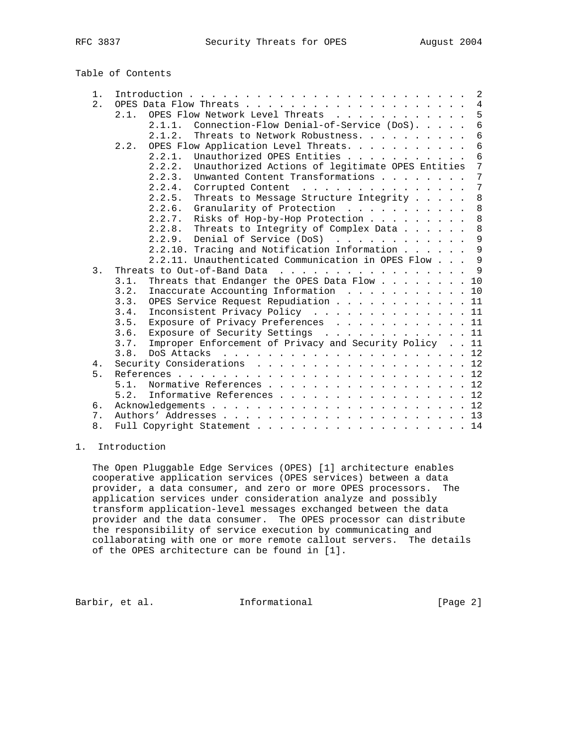|  |  | Table of Contents |
|--|--|-------------------|
|--|--|-------------------|

| 1.               | 2                                                                                                             |  |  |
|------------------|---------------------------------------------------------------------------------------------------------------|--|--|
| 2.               | $\overline{4}$<br>OPES Data Flow Threats.                                                                     |  |  |
|                  | 5<br>OPES Flow Network Level Threats $\cdot \cdot \cdot \cdot \cdot \cdot \cdot \cdot \cdot$<br>2.1.          |  |  |
|                  | $\overline{6}$<br>Connection-Flow Denial-of-Service (DoS).<br>2.1.1.                                          |  |  |
|                  | 2.1.2.<br>Threats to Network Robustness.<br>6                                                                 |  |  |
|                  | $\sqrt{6}$<br>OPES Flow Application Level Threats.<br>2.2.                                                    |  |  |
|                  | $6\,$<br>2.2.1.<br>Unauthorized OPES Entities                                                                 |  |  |
|                  | 7<br>Unauthorized Actions of legitimate OPES Entities<br>2.2.2.                                               |  |  |
|                  | Unwanted Content Transformations<br>7<br>$2, 2, 3$ .                                                          |  |  |
|                  | 7<br>2.2.4.<br>Corrupted Content<br>$\frac{1}{2}$                                                             |  |  |
|                  | $\,8\,$<br>2.2.5.<br>Threats to Message Structure Integrity                                                   |  |  |
|                  | $\,8\,$<br>2.2.6.<br>Granularity of Protection                                                                |  |  |
|                  | Risks of Hop-by-Hop Protection<br>8<br>2.2.7.                                                                 |  |  |
|                  | $\,8\,$<br>$2, 2, 8$ .<br>Threats to Integrity of Complex Data                                                |  |  |
|                  | 9<br>Denial of Service (DoS)<br>2.2.9.                                                                        |  |  |
|                  | 9<br>2.2.10. Tracing and Notification Information                                                             |  |  |
|                  | 9<br>2.2.11. Unauthenticated Communication in OPES Flow                                                       |  |  |
| $\overline{3}$ . | $\overline{9}$<br>Threats to Out-of-Band Data<br>$\frac{1}{2}$                                                |  |  |
|                  | Threats that Endanger the OPES Data Flow 10<br>3.1.                                                           |  |  |
|                  | Inaccurate Accounting Information<br>3.2.<br>10                                                               |  |  |
|                  | OPES Service Request Repudiation 11<br>3.3.                                                                   |  |  |
|                  | Inconsistent Privacy Policy 11<br>3.4.                                                                        |  |  |
|                  | Exposure of Privacy Preferences 11<br>3.5.                                                                    |  |  |
|                  | Exposure of Security Settings 11<br>3.6.                                                                      |  |  |
|                  | Improper Enforcement of Privacy and Security Policy 11<br>3.7.                                                |  |  |
|                  | DoS Attacks $\ldots$ $\ldots$ $\ldots$ $\ldots$ $\ldots$ $\ldots$ $\ldots$ $\ldots$ $\ldots$ $\ldots$<br>3.8. |  |  |
| 4.               | Security Considerations 12                                                                                    |  |  |
| 5.               | References.                                                                                                   |  |  |
|                  | Normative References 12<br>5.1.                                                                               |  |  |
|                  | Informative References 12<br>5.2.                                                                             |  |  |
| 6.               |                                                                                                               |  |  |
| 7.               |                                                                                                               |  |  |
| 8.               | Full Copyright Statement 14                                                                                   |  |  |
|                  |                                                                                                               |  |  |

## 1. Introduction

 The Open Pluggable Edge Services (OPES) [1] architecture enables cooperative application services (OPES services) between a data provider, a data consumer, and zero or more OPES processors. The application services under consideration analyze and possibly transform application-level messages exchanged between the data provider and the data consumer. The OPES processor can distribute the responsibility of service execution by communicating and collaborating with one or more remote callout servers. The details of the OPES architecture can be found in [1].

Barbir, et al. 1nformational [Page 2]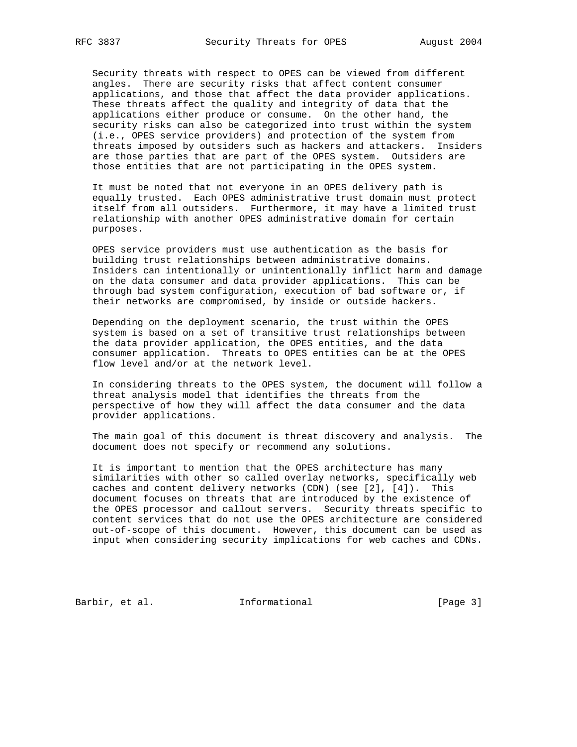Security threats with respect to OPES can be viewed from different angles. There are security risks that affect content consumer applications, and those that affect the data provider applications. These threats affect the quality and integrity of data that the applications either produce or consume. On the other hand, the security risks can also be categorized into trust within the system (i.e., OPES service providers) and protection of the system from threats imposed by outsiders such as hackers and attackers. Insiders are those parties that are part of the OPES system. Outsiders are those entities that are not participating in the OPES system.

 It must be noted that not everyone in an OPES delivery path is equally trusted. Each OPES administrative trust domain must protect itself from all outsiders. Furthermore, it may have a limited trust relationship with another OPES administrative domain for certain purposes.

 OPES service providers must use authentication as the basis for building trust relationships between administrative domains. Insiders can intentionally or unintentionally inflict harm and damage on the data consumer and data provider applications. This can be through bad system configuration, execution of bad software or, if their networks are compromised, by inside or outside hackers.

 Depending on the deployment scenario, the trust within the OPES system is based on a set of transitive trust relationships between the data provider application, the OPES entities, and the data consumer application. Threats to OPES entities can be at the OPES flow level and/or at the network level.

 In considering threats to the OPES system, the document will follow a threat analysis model that identifies the threats from the perspective of how they will affect the data consumer and the data provider applications.

 The main goal of this document is threat discovery and analysis. The document does not specify or recommend any solutions.

 It is important to mention that the OPES architecture has many similarities with other so called overlay networks, specifically web caches and content delivery networks (CDN) (see [2], [4]). This document focuses on threats that are introduced by the existence of the OPES processor and callout servers. Security threats specific to content services that do not use the OPES architecture are considered out-of-scope of this document. However, this document can be used as input when considering security implications for web caches and CDNs.

Barbir, et al. 1nformational 1999 [Page 3]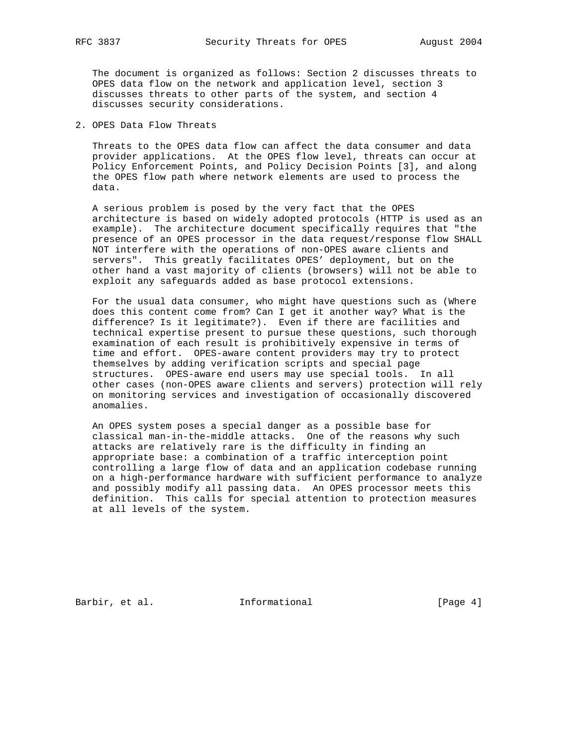The document is organized as follows: Section 2 discusses threats to OPES data flow on the network and application level, section 3 discusses threats to other parts of the system, and section 4 discusses security considerations.

2. OPES Data Flow Threats

 Threats to the OPES data flow can affect the data consumer and data provider applications. At the OPES flow level, threats can occur at Policy Enforcement Points, and Policy Decision Points [3], and along the OPES flow path where network elements are used to process the data.

 A serious problem is posed by the very fact that the OPES architecture is based on widely adopted protocols (HTTP is used as an example). The architecture document specifically requires that "the presence of an OPES processor in the data request/response flow SHALL NOT interfere with the operations of non-OPES aware clients and servers". This greatly facilitates OPES' deployment, but on the other hand a vast majority of clients (browsers) will not be able to exploit any safeguards added as base protocol extensions.

 For the usual data consumer, who might have questions such as (Where does this content come from? Can I get it another way? What is the difference? Is it legitimate?). Even if there are facilities and technical expertise present to pursue these questions, such thorough examination of each result is prohibitively expensive in terms of time and effort. OPES-aware content providers may try to protect themselves by adding verification scripts and special page structures. OPES-aware end users may use special tools. In all other cases (non-OPES aware clients and servers) protection will rely on monitoring services and investigation of occasionally discovered anomalies.

 An OPES system poses a special danger as a possible base for classical man-in-the-middle attacks. One of the reasons why such attacks are relatively rare is the difficulty in finding an appropriate base: a combination of a traffic interception point controlling a large flow of data and an application codebase running on a high-performance hardware with sufficient performance to analyze and possibly modify all passing data. An OPES processor meets this definition. This calls for special attention to protection measures at all levels of the system.

Barbir, et al. 1nformational 1998 [Page 4]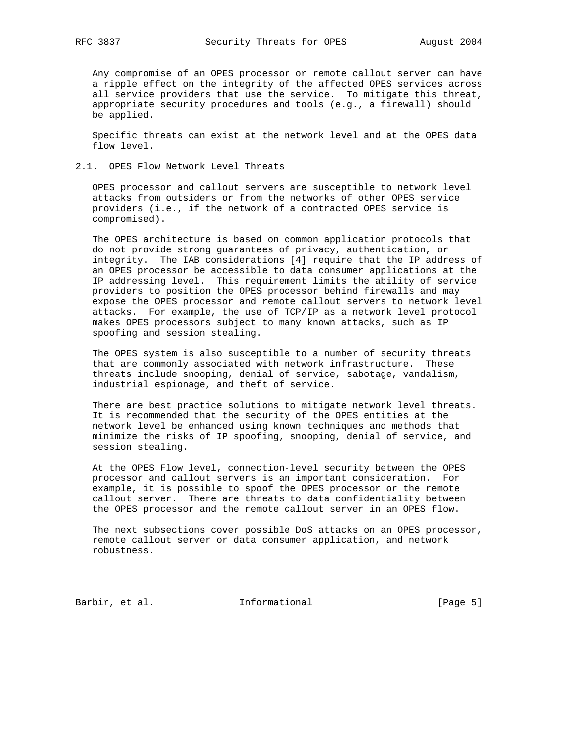Any compromise of an OPES processor or remote callout server can have a ripple effect on the integrity of the affected OPES services across all service providers that use the service. To mitigate this threat, appropriate security procedures and tools (e.g., a firewall) should be applied.

 Specific threats can exist at the network level and at the OPES data flow level.

## 2.1. OPES Flow Network Level Threats

 OPES processor and callout servers are susceptible to network level attacks from outsiders or from the networks of other OPES service providers (i.e., if the network of a contracted OPES service is compromised).

 The OPES architecture is based on common application protocols that do not provide strong guarantees of privacy, authentication, or integrity. The IAB considerations [4] require that the IP address of an OPES processor be accessible to data consumer applications at the IP addressing level. This requirement limits the ability of service providers to position the OPES processor behind firewalls and may expose the OPES processor and remote callout servers to network level attacks. For example, the use of TCP/IP as a network level protocol makes OPES processors subject to many known attacks, such as IP spoofing and session stealing.

 The OPES system is also susceptible to a number of security threats that are commonly associated with network infrastructure. These threats include snooping, denial of service, sabotage, vandalism, industrial espionage, and theft of service.

 There are best practice solutions to mitigate network level threats. It is recommended that the security of the OPES entities at the network level be enhanced using known techniques and methods that minimize the risks of IP spoofing, snooping, denial of service, and session stealing.

 At the OPES Flow level, connection-level security between the OPES processor and callout servers is an important consideration. For example, it is possible to spoof the OPES processor or the remote callout server. There are threats to data confidentiality between the OPES processor and the remote callout server in an OPES flow.

 The next subsections cover possible DoS attacks on an OPES processor, remote callout server or data consumer application, and network robustness.

Barbir, et al. 1nformational [Page 5]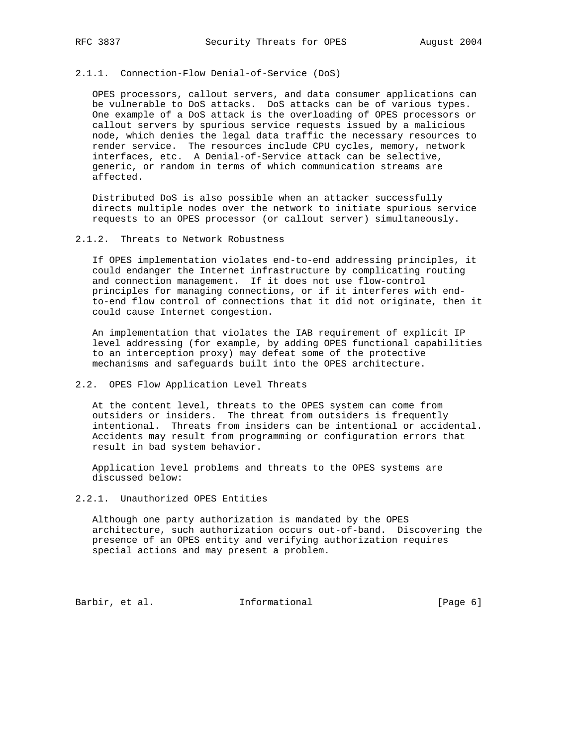## 2.1.1. Connection-Flow Denial-of-Service (DoS)

 OPES processors, callout servers, and data consumer applications can be vulnerable to DoS attacks. DoS attacks can be of various types. One example of a DoS attack is the overloading of OPES processors or callout servers by spurious service requests issued by a malicious node, which denies the legal data traffic the necessary resources to render service. The resources include CPU cycles, memory, network interfaces, etc. A Denial-of-Service attack can be selective, generic, or random in terms of which communication streams are affected.

 Distributed DoS is also possible when an attacker successfully directs multiple nodes over the network to initiate spurious service requests to an OPES processor (or callout server) simultaneously.

### 2.1.2. Threats to Network Robustness

 If OPES implementation violates end-to-end addressing principles, it could endanger the Internet infrastructure by complicating routing and connection management. If it does not use flow-control principles for managing connections, or if it interferes with end to-end flow control of connections that it did not originate, then it could cause Internet congestion.

 An implementation that violates the IAB requirement of explicit IP level addressing (for example, by adding OPES functional capabilities to an interception proxy) may defeat some of the protective mechanisms and safeguards built into the OPES architecture.

## 2.2. OPES Flow Application Level Threats

 At the content level, threats to the OPES system can come from outsiders or insiders. The threat from outsiders is frequently intentional. Threats from insiders can be intentional or accidental. Accidents may result from programming or configuration errors that result in bad system behavior.

 Application level problems and threats to the OPES systems are discussed below:

# 2.2.1. Unauthorized OPES Entities

 Although one party authorization is mandated by the OPES architecture, such authorization occurs out-of-band. Discovering the presence of an OPES entity and verifying authorization requires special actions and may present a problem.

Barbir, et al. 1nformational [Page 6]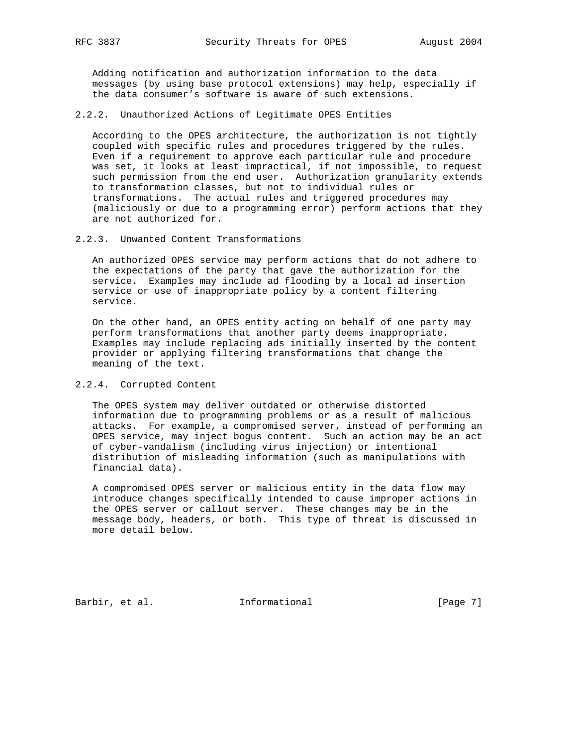Adding notification and authorization information to the data messages (by using base protocol extensions) may help, especially if the data consumer's software is aware of such extensions.

## 2.2.2. Unauthorized Actions of Legitimate OPES Entities

 According to the OPES architecture, the authorization is not tightly coupled with specific rules and procedures triggered by the rules. Even if a requirement to approve each particular rule and procedure was set, it looks at least impractical, if not impossible, to request such permission from the end user. Authorization granularity extends to transformation classes, but not to individual rules or transformations. The actual rules and triggered procedures may (maliciously or due to a programming error) perform actions that they are not authorized for.

### 2.2.3. Unwanted Content Transformations

 An authorized OPES service may perform actions that do not adhere to the expectations of the party that gave the authorization for the service. Examples may include ad flooding by a local ad insertion service or use of inappropriate policy by a content filtering service.

 On the other hand, an OPES entity acting on behalf of one party may perform transformations that another party deems inappropriate. Examples may include replacing ads initially inserted by the content provider or applying filtering transformations that change the meaning of the text.

#### 2.2.4. Corrupted Content

 The OPES system may deliver outdated or otherwise distorted information due to programming problems or as a result of malicious attacks. For example, a compromised server, instead of performing an OPES service, may inject bogus content. Such an action may be an act of cyber-vandalism (including virus injection) or intentional distribution of misleading information (such as manipulations with financial data).

 A compromised OPES server or malicious entity in the data flow may introduce changes specifically intended to cause improper actions in the OPES server or callout server. These changes may be in the message body, headers, or both. This type of threat is discussed in more detail below.

Barbir, et al. 1nformational 1999 [Page 7]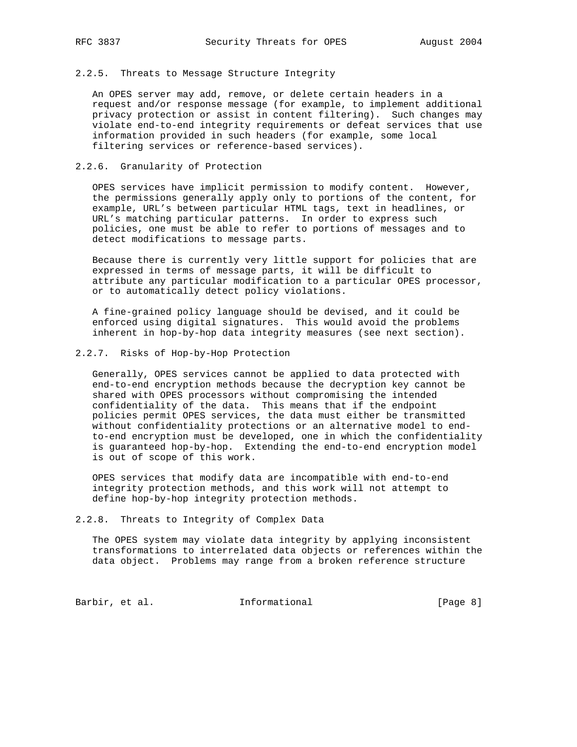#### 2.2.5. Threats to Message Structure Integrity

 An OPES server may add, remove, or delete certain headers in a request and/or response message (for example, to implement additional privacy protection or assist in content filtering). Such changes may violate end-to-end integrity requirements or defeat services that use information provided in such headers (for example, some local filtering services or reference-based services).

## 2.2.6. Granularity of Protection

 OPES services have implicit permission to modify content. However, the permissions generally apply only to portions of the content, for example, URL's between particular HTML tags, text in headlines, or URL's matching particular patterns. In order to express such policies, one must be able to refer to portions of messages and to detect modifications to message parts.

 Because there is currently very little support for policies that are expressed in terms of message parts, it will be difficult to attribute any particular modification to a particular OPES processor, or to automatically detect policy violations.

 A fine-grained policy language should be devised, and it could be enforced using digital signatures. This would avoid the problems inherent in hop-by-hop data integrity measures (see next section).

### 2.2.7. Risks of Hop-by-Hop Protection

 Generally, OPES services cannot be applied to data protected with end-to-end encryption methods because the decryption key cannot be shared with OPES processors without compromising the intended confidentiality of the data. This means that if the endpoint policies permit OPES services, the data must either be transmitted without confidentiality protections or an alternative model to end to-end encryption must be developed, one in which the confidentiality is guaranteed hop-by-hop. Extending the end-to-end encryption model is out of scope of this work.

 OPES services that modify data are incompatible with end-to-end integrity protection methods, and this work will not attempt to define hop-by-hop integrity protection methods.

#### 2.2.8. Threats to Integrity of Complex Data

 The OPES system may violate data integrity by applying inconsistent transformations to interrelated data objects or references within the data object. Problems may range from a broken reference structure

Barbir, et al. 1nformational 1999 [Page 8]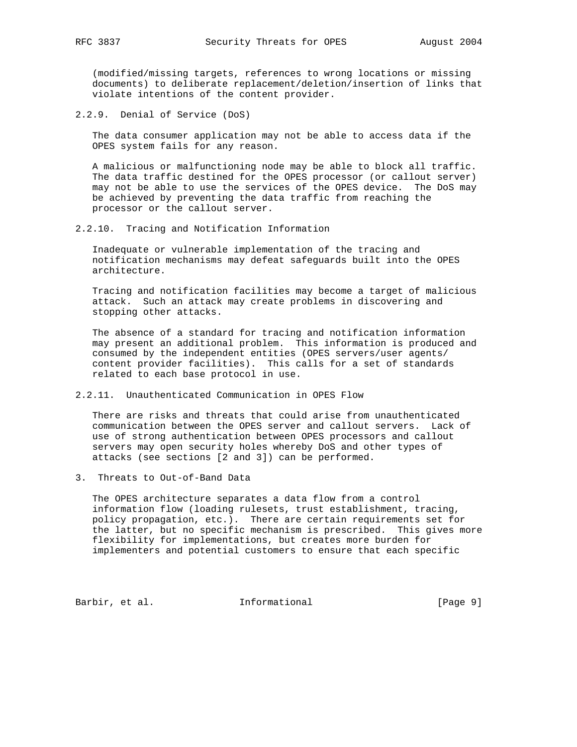(modified/missing targets, references to wrong locations or missing documents) to deliberate replacement/deletion/insertion of links that violate intentions of the content provider.

2.2.9. Denial of Service (DoS)

 The data consumer application may not be able to access data if the OPES system fails for any reason.

 A malicious or malfunctioning node may be able to block all traffic. The data traffic destined for the OPES processor (or callout server) may not be able to use the services of the OPES device. The DoS may be achieved by preventing the data traffic from reaching the processor or the callout server.

2.2.10. Tracing and Notification Information

 Inadequate or vulnerable implementation of the tracing and notification mechanisms may defeat safeguards built into the OPES architecture.

 Tracing and notification facilities may become a target of malicious attack. Such an attack may create problems in discovering and stopping other attacks.

 The absence of a standard for tracing and notification information may present an additional problem. This information is produced and consumed by the independent entities (OPES servers/user agents/ content provider facilities). This calls for a set of standards related to each base protocol in use.

2.2.11. Unauthenticated Communication in OPES Flow

 There are risks and threats that could arise from unauthenticated communication between the OPES server and callout servers. Lack of use of strong authentication between OPES processors and callout servers may open security holes whereby DoS and other types of attacks (see sections [2 and 3]) can be performed.

3. Threats to Out-of-Band Data

 The OPES architecture separates a data flow from a control information flow (loading rulesets, trust establishment, tracing, policy propagation, etc.). There are certain requirements set for the latter, but no specific mechanism is prescribed. This gives more flexibility for implementations, but creates more burden for implementers and potential customers to ensure that each specific

Barbir, et al. 1nformational 1999 [Page 9]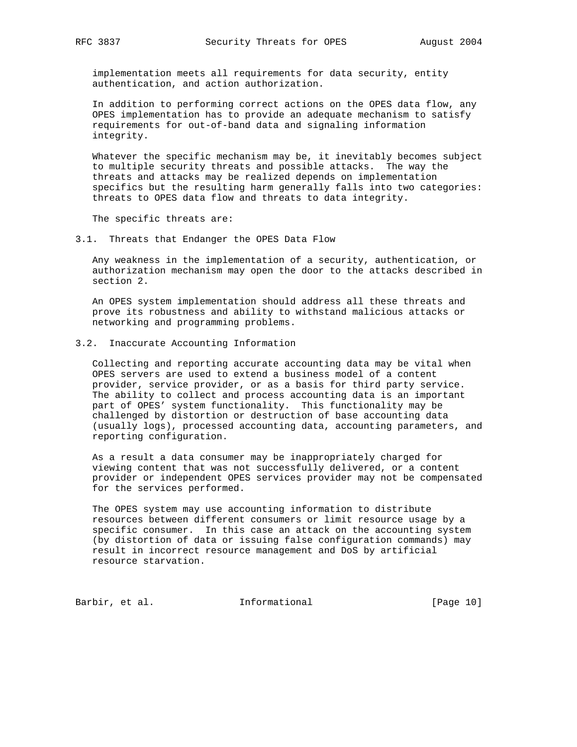implementation meets all requirements for data security, entity authentication, and action authorization.

 In addition to performing correct actions on the OPES data flow, any OPES implementation has to provide an adequate mechanism to satisfy requirements for out-of-band data and signaling information integrity.

 Whatever the specific mechanism may be, it inevitably becomes subject to multiple security threats and possible attacks. The way the threats and attacks may be realized depends on implementation specifics but the resulting harm generally falls into two categories: threats to OPES data flow and threats to data integrity.

The specific threats are:

3.1. Threats that Endanger the OPES Data Flow

 Any weakness in the implementation of a security, authentication, or authorization mechanism may open the door to the attacks described in section 2.

 An OPES system implementation should address all these threats and prove its robustness and ability to withstand malicious attacks or networking and programming problems.

# 3.2. Inaccurate Accounting Information

 Collecting and reporting accurate accounting data may be vital when OPES servers are used to extend a business model of a content provider, service provider, or as a basis for third party service. The ability to collect and process accounting data is an important part of OPES' system functionality. This functionality may be challenged by distortion or destruction of base accounting data (usually logs), processed accounting data, accounting parameters, and reporting configuration.

 As a result a data consumer may be inappropriately charged for viewing content that was not successfully delivered, or a content provider or independent OPES services provider may not be compensated for the services performed.

 The OPES system may use accounting information to distribute resources between different consumers or limit resource usage by a specific consumer. In this case an attack on the accounting system (by distortion of data or issuing false configuration commands) may result in incorrect resource management and DoS by artificial resource starvation.

Barbir, et al. 1nformational [Page 10]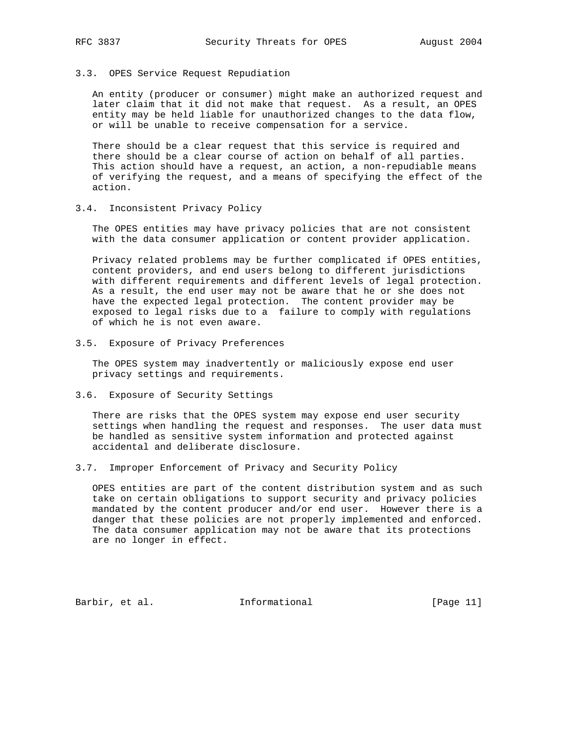### 3.3. OPES Service Request Repudiation

 An entity (producer or consumer) might make an authorized request and later claim that it did not make that request. As a result, an OPES entity may be held liable for unauthorized changes to the data flow, or will be unable to receive compensation for a service.

 There should be a clear request that this service is required and there should be a clear course of action on behalf of all parties. This action should have a request, an action, a non-repudiable means of verifying the request, and a means of specifying the effect of the action.

## 3.4. Inconsistent Privacy Policy

 The OPES entities may have privacy policies that are not consistent with the data consumer application or content provider application.

 Privacy related problems may be further complicated if OPES entities, content providers, and end users belong to different jurisdictions with different requirements and different levels of legal protection. As a result, the end user may not be aware that he or she does not have the expected legal protection. The content provider may be exposed to legal risks due to a failure to comply with regulations of which he is not even aware.

3.5. Exposure of Privacy Preferences

 The OPES system may inadvertently or maliciously expose end user privacy settings and requirements.

3.6. Exposure of Security Settings

 There are risks that the OPES system may expose end user security settings when handling the request and responses. The user data must be handled as sensitive system information and protected against accidental and deliberate disclosure.

3.7. Improper Enforcement of Privacy and Security Policy

 OPES entities are part of the content distribution system and as such take on certain obligations to support security and privacy policies mandated by the content producer and/or end user. However there is a danger that these policies are not properly implemented and enforced. The data consumer application may not be aware that its protections are no longer in effect.

Barbir, et al. Informational [Page 11]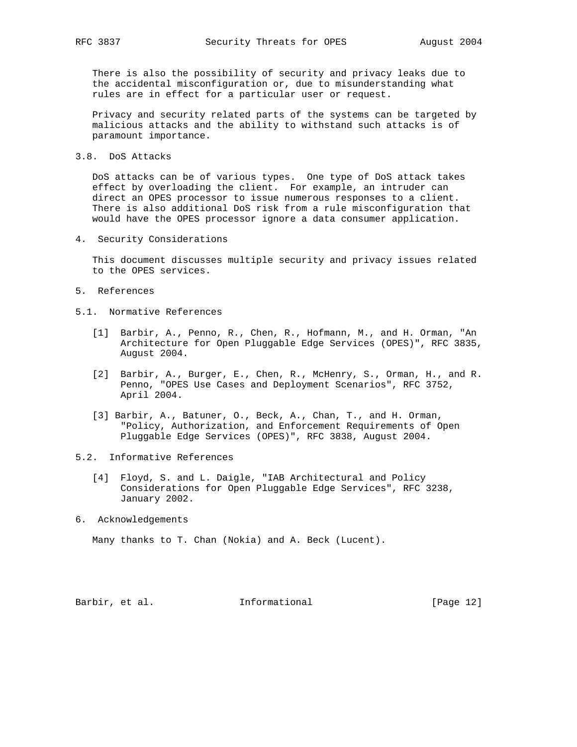There is also the possibility of security and privacy leaks due to the accidental misconfiguration or, due to misunderstanding what rules are in effect for a particular user or request.

 Privacy and security related parts of the systems can be targeted by malicious attacks and the ability to withstand such attacks is of paramount importance.

3.8. DoS Attacks

 DoS attacks can be of various types. One type of DoS attack takes effect by overloading the client. For example, an intruder can direct an OPES processor to issue numerous responses to a client. There is also additional DoS risk from a rule misconfiguration that would have the OPES processor ignore a data consumer application.

4. Security Considerations

 This document discusses multiple security and privacy issues related to the OPES services.

- 5. References
- 5.1. Normative References
	- [1] Barbir, A., Penno, R., Chen, R., Hofmann, M., and H. Orman, "An Architecture for Open Pluggable Edge Services (OPES)", RFC 3835, August 2004.
	- [2] Barbir, A., Burger, E., Chen, R., McHenry, S., Orman, H., and R. Penno, "OPES Use Cases and Deployment Scenarios", RFC 3752, April 2004.
	- [3] Barbir, A., Batuner, O., Beck, A., Chan, T., and H. Orman, "Policy, Authorization, and Enforcement Requirements of Open Pluggable Edge Services (OPES)", RFC 3838, August 2004.
- 5.2. Informative References
	- [4] Floyd, S. and L. Daigle, "IAB Architectural and Policy Considerations for Open Pluggable Edge Services", RFC 3238, January 2002.
- 6. Acknowledgements

Many thanks to T. Chan (Nokia) and A. Beck (Lucent).

Barbir, et al. Informational [Page 12]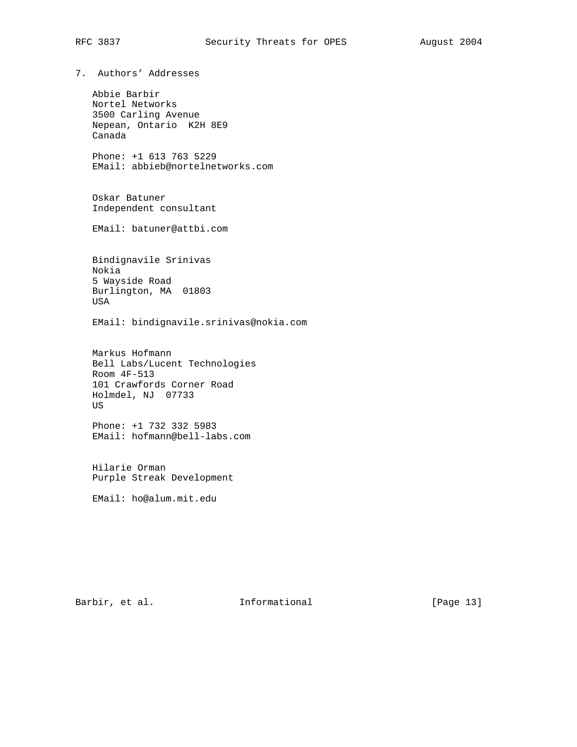7. Authors' Addresses

 Abbie Barbir Nortel Networks 3500 Carling Avenue Nepean, Ontario K2H 8E9 Canada

 Phone: +1 613 763 5229 EMail: abbieb@nortelnetworks.com

 Oskar Batuner Independent consultant

EMail: batuner@attbi.com

 Bindignavile Srinivas Nokia 5 Wayside Road Burlington, MA 01803 USA

EMail: bindignavile.srinivas@nokia.com

 Markus Hofmann Bell Labs/Lucent Technologies Room 4F-513 101 Crawfords Corner Road Holmdel, NJ 07733 US

 Phone: +1 732 332 5983 EMail: hofmann@bell-labs.com

 Hilarie Orman Purple Streak Development

EMail: ho@alum.mit.edu

Barbir, et al. 1nformational [Page 13]